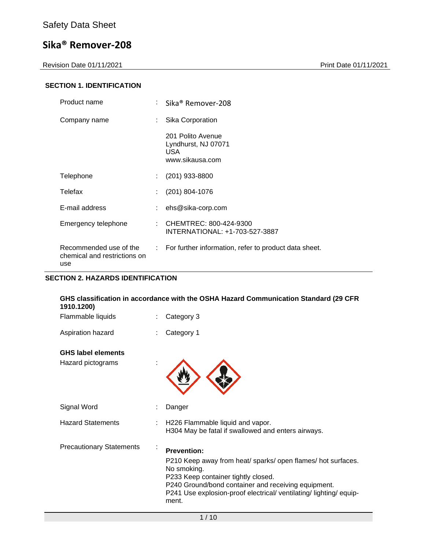Revision Date 01/11/2021 **Print Date 01/11/2021** 

## **SECTION 1. IDENTIFICATION**

| Product name                                                  |   | Sika® Remover-208                                                   |
|---------------------------------------------------------------|---|---------------------------------------------------------------------|
| Company name                                                  |   | Sika Corporation                                                    |
|                                                               |   | 201 Polito Avenue<br>Lyndhurst, NJ 07071<br>USA.<br>www.sikausa.com |
| Telephone                                                     | ÷ | $(201)$ 933-8800                                                    |
| Telefax                                                       |   | $(201)$ 804-1076                                                    |
| E-mail address                                                |   | ehs@sika-corp.com                                                   |
| Emergency telephone                                           |   | CHEMTREC: 800-424-9300<br>INTERNATIONAL: +1-703-527-3887            |
| Recommended use of the<br>chemical and restrictions on<br>use |   | : For further information, refer to product data sheet.             |

## **SECTION 2. HAZARDS IDENTIFICATION**

| GHS classification in accordance with the OSHA Hazard Communication Standard (29 CFR<br>1910.1200) |                                                                                                                                                                                                                                                                             |  |  |
|----------------------------------------------------------------------------------------------------|-----------------------------------------------------------------------------------------------------------------------------------------------------------------------------------------------------------------------------------------------------------------------------|--|--|
| Flammable liquids                                                                                  | Category 3                                                                                                                                                                                                                                                                  |  |  |
| Aspiration hazard                                                                                  | Category 1                                                                                                                                                                                                                                                                  |  |  |
| <b>GHS label elements</b>                                                                          |                                                                                                                                                                                                                                                                             |  |  |
| Hazard pictograms                                                                                  |                                                                                                                                                                                                                                                                             |  |  |
| Signal Word                                                                                        | Danger                                                                                                                                                                                                                                                                      |  |  |
| <b>Hazard Statements</b>                                                                           | H226 Flammable liquid and vapor.<br>H304 May be fatal if swallowed and enters airways.                                                                                                                                                                                      |  |  |
| <b>Precautionary Statements</b><br>÷                                                               | <b>Prevention:</b><br>P210 Keep away from heat/ sparks/ open flames/ hot surfaces.<br>No smoking.<br>P233 Keep container tightly closed.<br>P240 Ground/bond container and receiving equipment.<br>P241 Use explosion-proof electrical/ventilating/lighting/equip-<br>ment. |  |  |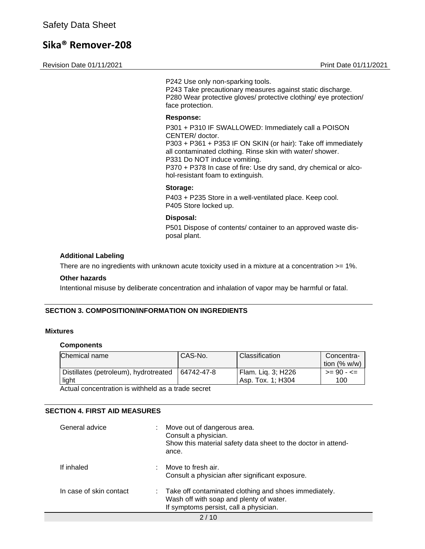Revision Date 01/11/2021 **Print Date 01/11/2021** 

P242 Use only non-sparking tools. P243 Take precautionary measures against static discharge. P280 Wear protective gloves/ protective clothing/ eye protection/ face protection.

#### **Response:**

P301 + P310 IF SWALLOWED: Immediately call a POISON CENTER/ doctor. P303 + P361 + P353 IF ON SKIN (or hair): Take off immediately all contaminated clothing. Rinse skin with water/ shower. P331 Do NOT induce vomiting. P370 + P378 In case of fire: Use dry sand, dry chemical or alcohol-resistant foam to extinguish.

#### **Storage:**

P403 + P235 Store in a well-ventilated place. Keep cool. P405 Store locked up.

#### **Disposal:**

P501 Dispose of contents/ container to an approved waste disposal plant.

#### **Additional Labeling**

There are no ingredients with unknown acute toxicity used in a mixture at a concentration >= 1%.

#### **Other hazards**

Intentional misuse by deliberate concentration and inhalation of vapor may be harmful or fatal.

#### **SECTION 3. COMPOSITION/INFORMATION ON INGREDIENTS**

#### **Mixtures**

#### **Components**

| Chemical name                         | CAS-No.    | Classification     | Concentra-<br>tion $(% w/w)$ |
|---------------------------------------|------------|--------------------|------------------------------|
| Distillates (petroleum), hydrotreated | 64742-47-8 | Flam. Lig. 3; H226 | $>= 90 - 50$                 |
| light                                 |            | Asp. Tox. 1: H304  | 100                          |

Actual concentration is withheld as a trade secret

#### **SECTION 4. FIRST AID MEASURES**

| General advice          | Move out of dangerous area.<br>Consult a physician.<br>Show this material safety data sheet to the doctor in attend-<br>ance.                           |
|-------------------------|---------------------------------------------------------------------------------------------------------------------------------------------------------|
| If inhaled              | Move to fresh air.<br>Consult a physician after significant exposure.                                                                                   |
| In case of skin contact | $\therefore$ Take off contaminated clothing and shoes immediately.<br>Wash off with soap and plenty of water.<br>If symptoms persist, call a physician. |
|                         | $\sim$ $\sim$                                                                                                                                           |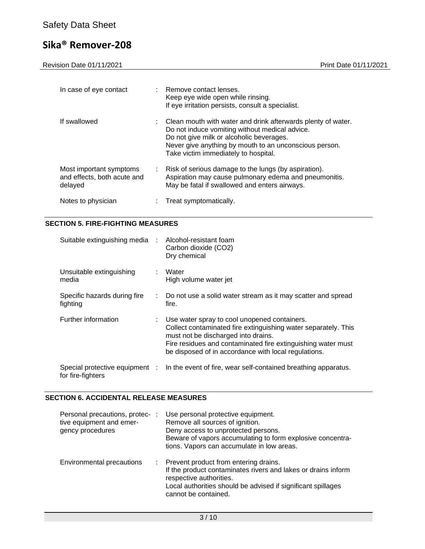Revision Date 01/11/2021 Print Date 01/11/2021

| In case of eye contact                                            | : Remove contact lenses.<br>Keep eye wide open while rinsing.<br>If eye irritation persists, consult a specialist.                                                                                                                                           |
|-------------------------------------------------------------------|--------------------------------------------------------------------------------------------------------------------------------------------------------------------------------------------------------------------------------------------------------------|
| If swallowed                                                      | Clean mouth with water and drink afterwards plenty of water.<br>Do not induce vomiting without medical advice.<br>Do not give milk or alcoholic beverages.<br>Never give anything by mouth to an unconscious person.<br>Take victim immediately to hospital. |
| Most important symptoms<br>and effects, both acute and<br>delayed | $\therefore$ Risk of serious damage to the lungs (by aspiration).<br>Aspiration may cause pulmonary edema and pneumonitis.<br>May be fatal if swallowed and enters airways.                                                                                  |
| Notes to physician                                                | Treat symptomatically.                                                                                                                                                                                                                                       |

### **SECTION 5. FIRE-FIGHTING MEASURES**

| Suitable extinguishing media : Alcohol-resistant foam | Carbon dioxide (CO2)<br>Dry chemical                                                                                                                                                                                                                                            |
|-------------------------------------------------------|---------------------------------------------------------------------------------------------------------------------------------------------------------------------------------------------------------------------------------------------------------------------------------|
| Unsuitable extinguishing<br>media                     | Water<br>High volume water jet                                                                                                                                                                                                                                                  |
| Specific hazards during fire<br>fighting              | : Do not use a solid water stream as it may scatter and spread<br>fire.                                                                                                                                                                                                         |
| Further information                                   | : Use water spray to cool unopened containers.<br>Collect contaminated fire extinguishing water separately. This<br>must not be discharged into drains.<br>Fire residues and contaminated fire extinguishing water must<br>be disposed of in accordance with local regulations. |
| for fire-fighters                                     | Special protective equipment : In the event of fire, wear self-contained breathing apparatus.                                                                                                                                                                                   |

### **SECTION 6. ACCIDENTAL RELEASE MEASURES**

| Personal precautions, protec-:<br>tive equipment and emer-<br>gency procedures | Use personal protective equipment.<br>Remove all sources of ignition.<br>Deny access to unprotected persons.<br>Beware of vapors accumulating to form explosive concentra-<br>tions. Vapors can accumulate in low areas.    |
|--------------------------------------------------------------------------------|-----------------------------------------------------------------------------------------------------------------------------------------------------------------------------------------------------------------------------|
| Environmental precautions                                                      | : Prevent product from entering drains.<br>If the product contaminates rivers and lakes or drains inform<br>respective authorities.<br>Local authorities should be advised if significant spillages<br>cannot be contained. |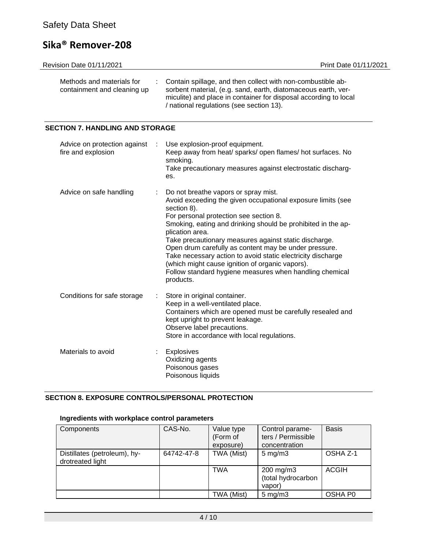| <b>Revision Date 01/11/2021</b>                                         | Print Date 01/11/2021                                                                                                                                                                                                                        |
|-------------------------------------------------------------------------|----------------------------------------------------------------------------------------------------------------------------------------------------------------------------------------------------------------------------------------------|
| Methods and materials for<br>÷.<br>containment and cleaning up          | Contain spillage, and then collect with non-combustible ab-<br>sorbent material, (e.g. sand, earth, diatomaceous earth, ver-<br>miculite) and place in container for disposal according to local<br>/ national regulations (see section 13). |
| <b>SECTION 7. HANDLING AND STORAGE</b>                                  |                                                                                                                                                                                                                                              |
| Advice on protection against<br>$\sim$ 100 $\sim$<br>fire and explosion | Use explosion-proof equipment.<br>Keep away from heat/ sparks/ open flames/ hot surfaces. No<br>smoking.<br>Take precautionary measures against electrostatic discharg-                                                                      |

| Advice on safe handling     |    | : Do not breathe vapors or spray mist.<br>Avoid exceeding the given occupational exposure limits (see<br>section 8).<br>For personal protection see section 8.<br>Smoking, eating and drinking should be prohibited in the ap-<br>plication area.<br>Take precautionary measures against static discharge.<br>Open drum carefully as content may be under pressure.<br>Take necessary action to avoid static electricity discharge<br>(which might cause ignition of organic vapors).<br>Follow standard hygiene measures when handling chemical<br>products. |
|-----------------------------|----|---------------------------------------------------------------------------------------------------------------------------------------------------------------------------------------------------------------------------------------------------------------------------------------------------------------------------------------------------------------------------------------------------------------------------------------------------------------------------------------------------------------------------------------------------------------|
| Conditions for safe storage | t. | Store in original container.<br>Keep in a well-ventilated place.<br>Containers which are opened must be carefully resealed and<br>kept upright to prevent leakage.<br>Observe label precautions.<br>Store in accordance with local regulations.                                                                                                                                                                                                                                                                                                               |
| Materials to avoid          | t. | <b>Explosives</b><br>Oxidizing agents<br>Poisonous gases<br>Poisonous liquids                                                                                                                                                                                                                                                                                                                                                                                                                                                                                 |

es.

### **SECTION 8. EXPOSURE CONTROLS/PERSONAL PROTECTION**

# **Ingredients with workplace control parameters**

| Components                                       | CAS-No.    | Value type<br>(Form of<br>exposure) | Control parame-<br>ters / Permissible<br>concentration | <b>Basis</b> |
|--------------------------------------------------|------------|-------------------------------------|--------------------------------------------------------|--------------|
| Distillates (petroleum), hy-<br>drotreated light | 64742-47-8 | TWA (Mist)                          | $5 \text{ mg/m}$ 3                                     | OSHA Z-1     |
|                                                  |            | <b>TWA</b>                          | 200 mg/m3<br>(total hydrocarbon<br>vapor)              | <b>ACGIH</b> |
|                                                  |            | TWA (Mist)                          | $5 \text{ mg/m}$ 3                                     | OSHA P0      |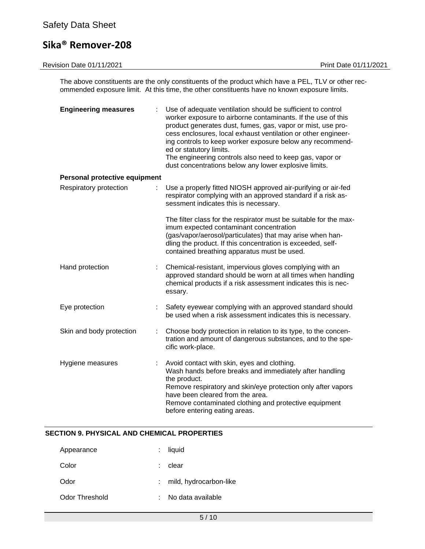# Safety Data Sheet

# **Sika® Remover-208**

| <b>Revision Date 01/11/2021</b> | Print Date 01/11/2021                                                                                                                                                                                                                                                                                                                                                                                                                                                    |
|---------------------------------|--------------------------------------------------------------------------------------------------------------------------------------------------------------------------------------------------------------------------------------------------------------------------------------------------------------------------------------------------------------------------------------------------------------------------------------------------------------------------|
|                                 | The above constituents are the only constituents of the product which have a PEL, TLV or other rec-<br>ommended exposure limit. At this time, the other constituents have no known exposure limits.                                                                                                                                                                                                                                                                      |
| <b>Engineering measures</b>     | Use of adequate ventilation should be sufficient to control<br>worker exposure to airborne contaminants. If the use of this<br>product generates dust, fumes, gas, vapor or mist, use pro-<br>cess enclosures, local exhaust ventilation or other engineer-<br>ing controls to keep worker exposure below any recommend-<br>ed or statutory limits.<br>The engineering controls also need to keep gas, vapor or<br>dust concentrations below any lower explosive limits. |
| Personal protective equipment   |                                                                                                                                                                                                                                                                                                                                                                                                                                                                          |
| Respiratory protection          | Use a properly fitted NIOSH approved air-purifying or air-fed<br>respirator complying with an approved standard if a risk as-<br>sessment indicates this is necessary.                                                                                                                                                                                                                                                                                                   |
|                                 | The filter class for the respirator must be suitable for the max-<br>imum expected contaminant concentration<br>(gas/vapor/aerosol/particulates) that may arise when han-<br>dling the product. If this concentration is exceeded, self-<br>contained breathing apparatus must be used.                                                                                                                                                                                  |
| Hand protection                 | Chemical-resistant, impervious gloves complying with an<br>approved standard should be worn at all times when handling<br>chemical products if a risk assessment indicates this is nec-                                                                                                                                                                                                                                                                                  |

Eye protection : Safety eyewear complying with an approved standard should be used when a risk assessment indicates this is necessary.

essary.

- Skin and body protection : Choose body protection in relation to its type, to the concentration and amount of dangerous substances, and to the specific work-place.
- Hygiene measures : Avoid contact with skin, eyes and clothing. Wash hands before breaks and immediately after handling the product. Remove respiratory and skin/eye protection only after vapors have been cleared from the area. Remove contaminated clothing and protective equipment before entering eating areas.

### **SECTION 9. PHYSICAL AND CHEMICAL PROPERTIES**

| Appearance     | $:$ liquid               |
|----------------|--------------------------|
| Color          | clear                    |
| Odor           | : mild, hydrocarbon-like |
| Odor Threshold | No data available        |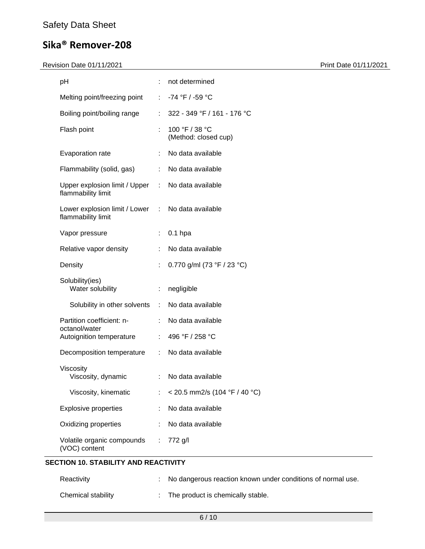## Revision Date 01/11/2021 **Print Date 01/11/2021**

| pH                                                    |                              | not determined                         |
|-------------------------------------------------------|------------------------------|----------------------------------------|
| Melting point/freezing point                          | $\mathcal{L}_{\mathcal{A}}$  | -74 °F / -59 °C                        |
| Boiling point/boiling range                           | ÷.                           | 322 - 349 °F / 161 - 176 °C            |
| Flash point                                           |                              | 100 °F / 38 °C<br>(Method: closed cup) |
| Evaporation rate                                      |                              | No data available                      |
| Flammability (solid, gas)                             | ÷                            | No data available                      |
| Upper explosion limit / Upper<br>flammability limit   | $\mathcal{L}_{\mathrm{eff}}$ | No data available                      |
| Lower explosion limit / Lower :<br>flammability limit |                              | No data available                      |
| Vapor pressure                                        | ÷                            | $0.1$ hpa                              |
| Relative vapor density                                |                              | No data available                      |
| Density                                               |                              | 0.770 g/ml (73 °F / 23 °C)             |
| Solubility(ies)<br>Water solubility                   | ÷                            | negligible                             |
| Solubility in other solvents                          | $\mathcal{L}_{\mathcal{A}}$  | No data available                      |
| Partition coefficient: n-<br>octanol/water            | ÷                            | No data available                      |
| Autoignition temperature                              |                              | 496 °F / 258 °C                        |
| Decomposition temperature                             | ÷                            | No data available                      |
| Viscosity<br>Viscosity, dynamic                       |                              | No data available                      |
| Viscosity, kinematic                                  |                              | < 20.5 mm2/s (104 °F / 40 °C)          |
| <b>Explosive properties</b>                           |                              | No data available                      |
| Oxidizing properties                                  |                              | No data available                      |
| Volatile organic compounds<br>(VOC) content           |                              | 772 g/l                                |

# **SECTION 10. STABILITY AND REACTIVITY**

| Reactivity         | No dangerous reaction known under conditions of normal use. |
|--------------------|-------------------------------------------------------------|
| Chemical stability | $\therefore$ The product is chemically stable.              |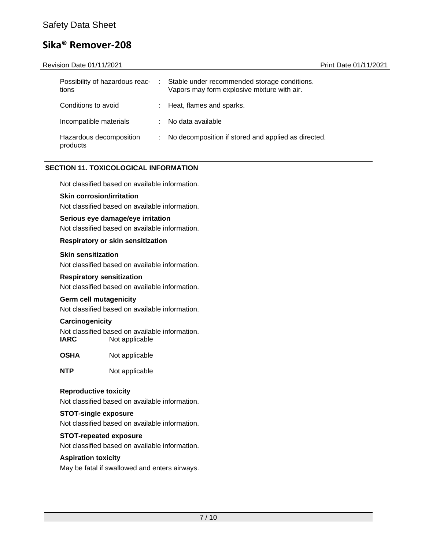| Revision Date 01/11/2021                |   |                                                                                             | <b>Print Date 01/11/2021</b> |
|-----------------------------------------|---|---------------------------------------------------------------------------------------------|------------------------------|
| Possibility of hazardous reac-<br>tions | ÷ | Stable under recommended storage conditions.<br>Vapors may form explosive mixture with air. |                              |
| Conditions to avoid                     |   | Heat, flames and sparks.                                                                    |                              |
| Incompatible materials                  |   | No data available                                                                           |                              |
| Hazardous decomposition<br>products     |   | No decomposition if stored and applied as directed.                                         |                              |

# **SECTION 11. TOXICOLOGICAL INFORMATION**

Not classified based on available information.

#### **Skin corrosion/irritation**

Not classified based on available information.

### **Serious eye damage/eye irritation**

Not classified based on available information.

#### **Respiratory or skin sensitization**

#### **Skin sensitization**

Not classified based on available information.

#### **Respiratory sensitization**

Not classified based on available information.

#### **Germ cell mutagenicity**

Not classified based on available information.

#### **Carcinogenicity**

Not classified based on available information.<br> **IARC** Mot applicable **Not applicable** 

**OSHA** Not applicable

**NTP** Not applicable

#### **Reproductive toxicity**

Not classified based on available information.

#### **STOT-single exposure**

Not classified based on available information.

#### **STOT-repeated exposure**

Not classified based on available information.

#### **Aspiration toxicity**

May be fatal if swallowed and enters airways.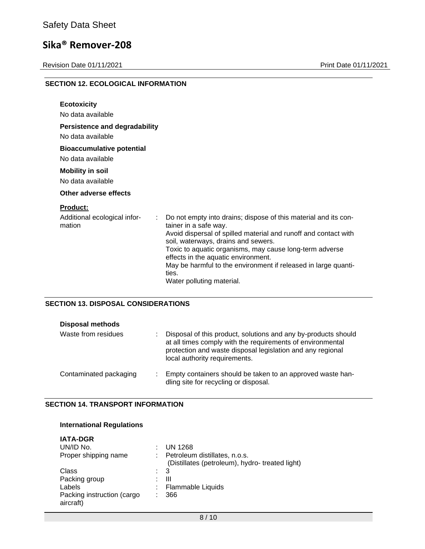Revision Date 01/11/2021 Print Date 01/11/2021

| <b>SECTION 12. ECOLOGICAL INFORMATION</b>    |                                                                                                        |
|----------------------------------------------|--------------------------------------------------------------------------------------------------------|
| <b>Ecotoxicity</b>                           |                                                                                                        |
| No data available                            |                                                                                                        |
| <b>Persistence and degradability</b>         |                                                                                                        |
| No data available                            |                                                                                                        |
| <b>Bioaccumulative potential</b>             |                                                                                                        |
| No data available                            |                                                                                                        |
| <b>Mobility in soil</b>                      |                                                                                                        |
| No data available                            |                                                                                                        |
| Other adverse effects                        |                                                                                                        |
| <b>Product:</b>                              |                                                                                                        |
| Additional ecological infor-<br>÷.<br>mation | Do not empty into drains; dispose of this material and its con-<br>tainer in a safe way.               |
|                                              | Avoid dispersal of spilled material and runoff and contact with<br>soil, waterways, drains and sewers. |
|                                              | Toxic to aquatic organisms, may cause long-term adverse<br>effects in the aquatic environment.         |
|                                              | May be harmful to the environment if released in large quanti-<br>ties.                                |
|                                              | Water polluting material.                                                                              |

### **SECTION 13. DISPOSAL CONSIDERATIONS**

| <b>Disposal methods</b><br>Waste from residues | Disposal of this product, solutions and any by-products should<br>at all times comply with the requirements of environmental<br>protection and waste disposal legislation and any regional<br>local authority requirements. |
|------------------------------------------------|-----------------------------------------------------------------------------------------------------------------------------------------------------------------------------------------------------------------------------|
| Contaminated packaging                         | Empty containers should be taken to an approved waste han-<br>dling site for recycling or disposal.                                                                                                                         |

#### **SECTION 14. TRANSPORT INFORMATION**

| <b>International Regulations</b>        |                                                                                  |
|-----------------------------------------|----------------------------------------------------------------------------------|
| <b>IATA-DGR</b><br>UN/ID No.            | UN 1268                                                                          |
| Proper shipping name                    | Petroleum distillates, n.o.s.<br>(Distillates (petroleum), hydro- treated light) |
| Class                                   | 3                                                                                |
| Packing group                           | Ш                                                                                |
| Labels                                  | Flammable Liquids                                                                |
| Packing instruction (cargo<br>aircraft) | 366                                                                              |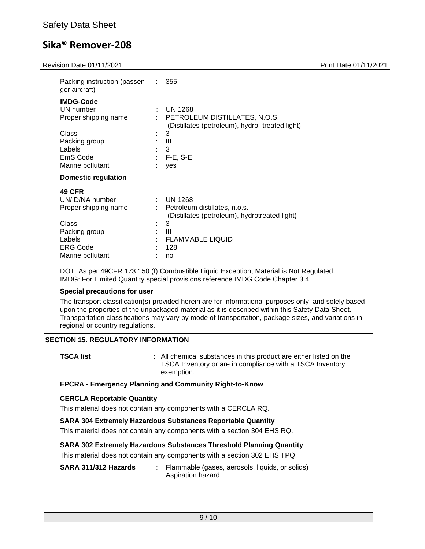Revision Date 01/11/2021 **Print Date 01/11/2021** 

| 000 - 000 - 000 - 000 - 1                           |    |                                                                                 |  |
|-----------------------------------------------------|----|---------------------------------------------------------------------------------|--|
| Packing instruction (passen- : 355<br>ger aircraft) |    |                                                                                 |  |
| <b>IMDG-Code</b>                                    |    |                                                                                 |  |
| UN number                                           | ÷. | <b>UN 1268</b>                                                                  |  |
| Proper shipping name                                |    | PETROLEUM DISTILLATES, N.O.S.<br>(Distillates (petroleum), hydro-treated light) |  |
| Class                                               | ٠. | 3                                                                               |  |
| Packing group                                       |    | Ш                                                                               |  |
| Labels                                              |    | 3                                                                               |  |
| EmS Code                                            |    | $:$ F-E, S-E                                                                    |  |
| Marine pollutant                                    |    | yes                                                                             |  |
| <b>Domestic regulation</b>                          |    |                                                                                 |  |
| <b>49 CFR</b>                                       |    |                                                                                 |  |
| UN/ID/NA number                                     |    | $:$ UN 1268                                                                     |  |
| Proper shipping name                                |    | Petroleum distillates, n.o.s.                                                   |  |
|                                                     |    | (Distillates (petroleum), hydrotreated light)                                   |  |
| Class                                               | ÷  | 3                                                                               |  |
| Packing group                                       |    | Ш                                                                               |  |
| Labels                                              |    | <b>FLAMMABLE LIQUID</b>                                                         |  |
| <b>ERG Code</b>                                     |    | 128                                                                             |  |
| Marine pollutant                                    |    | no                                                                              |  |

DOT: As per 49CFR 173.150 (f) Combustible Liquid Exception, Material is Not Regulated. IMDG: For Limited Quantity special provisions reference IMDG Code Chapter 3.4

#### **Special precautions for user**

The transport classification(s) provided herein are for informational purposes only, and solely based upon the properties of the unpackaged material as it is described within this Safety Data Sheet. Transportation classifications may vary by mode of transportation, package sizes, and variations in regional or country regulations.

#### **SECTION 15. REGULATORY INFORMATION**

**TSCA list EXECA list 1 COLLEGAT CONSTANTS IN A LIGACE 2 COLLEGAT 2 COLLEGAT 2 COLLEGAT 2 COLLEGAT 2 COLLEGAT 2 COLLEGAT 2 COLLEGAT 2 COLLEGAT 2 COLLEGAT 2 COLLEGAT 2 COLLEGAT 2 COLLEGAT 2 C** TSCA Inventory or are in compliance with a TSCA Inventory exemption.

#### **EPCRA - Emergency Planning and Community Right-to-Know**

#### **CERCLA Reportable Quantity**

This material does not contain any components with a CERCLA RQ.

#### **SARA 304 Extremely Hazardous Substances Reportable Quantity**

This material does not contain any components with a section 304 EHS RQ.

#### **SARA 302 Extremely Hazardous Substances Threshold Planning Quantity**

This material does not contain any components with a section 302 EHS TPQ.

| SARA 311/312 Hazards | Flammable (gases, aerosols, liquids, or solids) |  |  |
|----------------------|-------------------------------------------------|--|--|
|                      | Aspiration hazard                               |  |  |